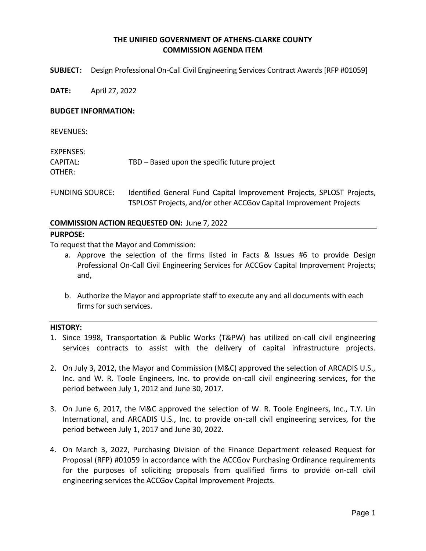## **THE UNIFIED GOVERNMENT OF ATHENS-CLARKE COUNTY COMMISSION AGENDA ITEM**

**SUBJECT:** Design Professional On-Call Civil Engineering Services Contract Awards [RFP #01059]

**DATE:** April 27, 2022

#### **BUDGET INFORMATION:**

REVENUES:

| EXPENSES:              |                                                                        |  |
|------------------------|------------------------------------------------------------------------|--|
| CAPITAL:               | TBD – Based upon the specific future project                           |  |
| OTHER:                 |                                                                        |  |
|                        |                                                                        |  |
| <b>FUNDING SOURCE:</b> | Identified General Fund Capital Improvement Projects, SPLOST Projects, |  |

# **COMMISSION ACTION REQUESTED ON:** June 7, 2022

#### **PURPOSE:**

To request that the Mayor and Commission:

a. Approve the selection of the firms listed in Facts & Issues #6 to provide Design Professional On-Call Civil Engineering Services for ACCGov Capital Improvement Projects; and,

TSPLOST Projects, and/or other ACCGov Capital Improvement Projects

b. Authorize the Mayor and appropriate staff to execute any and all documents with each firms for such services.

#### **HISTORY:**

- 1. Since 1998, Transportation & Public Works (T&PW) has utilized on-call civil engineering services contracts to assist with the delivery of capital infrastructure projects.
- 2. On July 3, 2012, the Mayor and Commission (M&C) approved the selection of ARCADIS U.S., Inc. and W. R. Toole Engineers, Inc. to provide on-call civil engineering services, for the period between July 1, 2012 and June 30, 2017.
- 3. On June 6, 2017, the M&C approved the selection of W. R. Toole Engineers, Inc., T.Y. Lin International, and ARCADIS U.S., Inc. to provide on-call civil engineering services, for the period between July 1, 2017 and June 30, 2022.
- 4. On March 3, 2022, Purchasing Division of the Finance Department released Request for Proposal (RFP) #01059 in accordance with the ACCGov Purchasing Ordinance requirements for the purposes of soliciting proposals from qualified firms to provide on-call civil engineering services the ACCGov Capital Improvement Projects.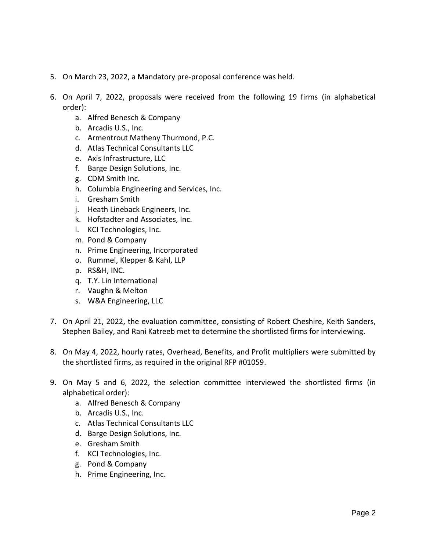- 5. On March 23, 2022, a Mandatory pre-proposal conference was held.
- 6. On April 7, 2022, proposals were received from the following 19 firms (in alphabetical order):
	- a. Alfred Benesch & Company
	- b. Arcadis U.S., Inc.
	- c. Armentrout Matheny Thurmond, P.C.
	- d. Atlas Technical Consultants LLC
	- e. Axis Infrastructure, LLC
	- f. Barge Design Solutions, Inc.
	- g. CDM Smith Inc.
	- h. Columbia Engineering and Services, Inc.
	- i. Gresham Smith
	- j. Heath Lineback Engineers, Inc.
	- k. Hofstadter and Associates, Inc.
	- l. KCI Technologies, Inc.
	- m. Pond & Company
	- n. Prime Engineering, Incorporated
	- o. Rummel, Klepper & Kahl, LLP
	- p. RS&H, INC.
	- q. T.Y. Lin International
	- r. Vaughn & Melton
	- s. W&A Engineering, LLC
- 7. On April 21, 2022, the evaluation committee, consisting of Robert Cheshire, Keith Sanders, Stephen Bailey, and Rani Katreeb met to determine the shortlisted firms for interviewing.
- 8. On May 4, 2022, hourly rates, Overhead, Benefits, and Profit multipliers were submitted by the shortlisted firms, as required in the original RFP #01059.
- 9. On May 5 and 6, 2022, the selection committee interviewed the shortlisted firms (in alphabetical order):
	- a. Alfred Benesch & Company
	- b. Arcadis U.S., Inc.
	- c. Atlas Technical Consultants LLC
	- d. Barge Design Solutions, Inc.
	- e. Gresham Smith
	- f. KCI Technologies, Inc.
	- g. Pond & Company
	- h. Prime Engineering, Inc.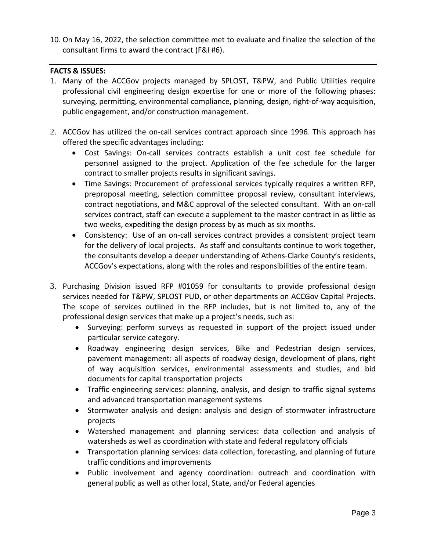10. On May 16, 2022, the selection committee met to evaluate and finalize the selection of the consultant firms to award the contract (F&I #6).

### **FACTS & ISSUES:**

- 1. Many of the ACCGov projects managed by SPLOST, T&PW, and Public Utilities require professional civil engineering design expertise for one or more of the following phases: surveying, permitting, environmental compliance, planning, design, right-of-way acquisition, public engagement, and/or construction management.
- 2. ACCGov has utilized the on-call services contract approach since 1996. This approach has offered the specific advantages including:
	- Cost Savings: On-call services contracts establish a unit cost fee schedule for personnel assigned to the project. Application of the fee schedule for the larger contract to smaller projects results in significant savings.
	- Time Savings: Procurement of professional services typically requires a written RFP, preproposal meeting, selection committee proposal review, consultant interviews, contract negotiations, and M&C approval of the selected consultant. With an on-call services contract, staff can execute a supplement to the master contract in as little as two weeks, expediting the design process by as much as six months.
	- Consistency: Use of an on-call services contract provides a consistent project team for the delivery of local projects. As staff and consultants continue to work together, the consultants develop a deeper understanding of Athens-Clarke County's residents, ACCGov's expectations, along with the roles and responsibilities of the entire team.
- 3. Purchasing Division issued RFP #01059 for consultants to provide professional design services needed for T&PW, SPLOST PUD, or other departments on ACCGov Capital Projects. The scope of services outlined in the RFP includes, but is not limited to, any of the professional design services that make up a project's needs, such as:
	- Surveying: perform surveys as requested in support of the project issued under particular service category.
	- Roadway engineering design services, Bike and Pedestrian design services, pavement management: all aspects of roadway design, development of plans, right of way acquisition services, environmental assessments and studies, and bid documents for capital transportation projects
	- Traffic engineering services: planning, analysis, and design to traffic signal systems and advanced transportation management systems
	- Stormwater analysis and design: analysis and design of stormwater infrastructure projects
	- Watershed management and planning services: data collection and analysis of watersheds as well as coordination with state and federal regulatory officials
	- Transportation planning services: data collection, forecasting, and planning of future traffic conditions and improvements
	- Public involvement and agency coordination: outreach and coordination with general public as well as other local, State, and/or Federal agencies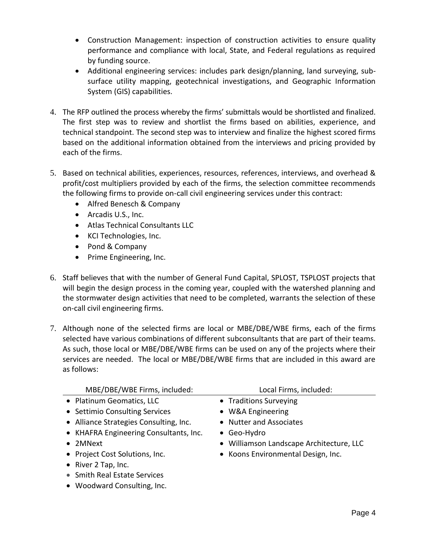- Construction Management: inspection of construction activities to ensure quality performance and compliance with local, State, and Federal regulations as required by funding source.
- Additional engineering services: includes park design/planning, land surveying, subsurface utility mapping, geotechnical investigations, and Geographic Information System (GIS) capabilities.
- 4. The RFP outlined the process whereby the firms' submittals would be shortlisted and finalized. The first step was to review and shortlist the firms based on abilities, experience, and technical standpoint. The second step was to interview and finalize the highest scored firms based on the additional information obtained from the interviews and pricing provided by each of the firms.
- 5. Based on technical abilities, experiences, resources, references, interviews, and overhead & profit/cost multipliers provided by each of the firms, the selection committee recommends the following firms to provide on-call civil engineering services under this contract:
	- Alfred Benesch & Company
	- Arcadis U.S., Inc.
	- Atlas Technical Consultants LLC
	- KCI Technologies, Inc.
	- Pond & Company
	- Prime Engineering, Inc.
- 6. Staff believes that with the number of General Fund Capital, SPLOST, TSPLOST projects that will begin the design process in the coming year, coupled with the watershed planning and the stormwater design activities that need to be completed, warrants the selection of these on-call civil engineering firms.
- 7. Although none of the selected firms are local or MBE/DBE/WBE firms, each of the firms selected have various combinations of different subconsultants that are part of their teams. As such, those local or MBE/DBE/WBE firms can be used on any of the projects where their services are needed. The local or MBE/DBE/WBE firms that are included in this award are as follows:

| MBE/DBE/WBE Firms, included:           | Local Firms, included:                   |
|----------------------------------------|------------------------------------------|
| • Platinum Geomatics, LLC              | • Traditions Surveying                   |
| • Settimio Consulting Services         | • W&A Engineering                        |
| • Alliance Strategies Consulting, Inc. | • Nutter and Associates                  |
| • KHAFRA Engineering Consultants, Inc. | $\bullet$ Geo-Hydro                      |
| • 2MNext                               | · Williamson Landscape Architecture, LLC |
| • Project Cost Solutions, Inc.         | • Koons Environmental Design, Inc.       |
| • River 2 Tap, Inc.                    |                                          |
| • Smith Real Estate Services           |                                          |
| • Woodward Consulting, Inc.            |                                          |